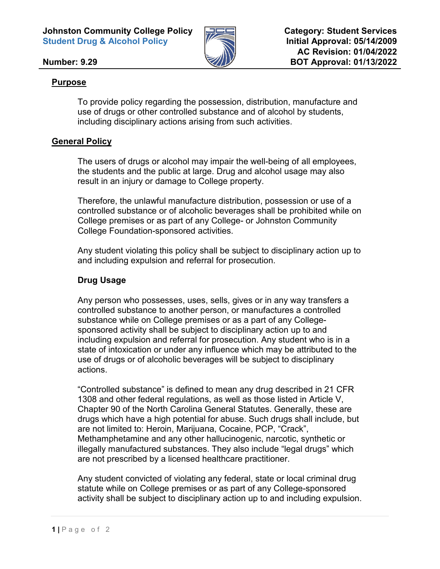

## **Number: 9.29**

## **Purpose**

To provide policy regarding the possession, distribution, manufacture and use of drugs or other controlled substance and of alcohol by students, including disciplinary actions arising from such activities.

# **General Policy**

The users of drugs or alcohol may impair the well-being of all employees, the students and the public at large. Drug and alcohol usage may also result in an injury or damage to College property.

Therefore, the unlawful manufacture distribution, possession or use of a controlled substance or of alcoholic beverages shall be prohibited while on College premises or as part of any College- or Johnston Community College Foundation-sponsored activities.

Any student violating this policy shall be subject to disciplinary action up to and including expulsion and referral for prosecution.

# **Drug Usage**

Any person who possesses, uses, sells, gives or in any way transfers a controlled substance to another person, or manufactures a controlled substance while on College premises or as a part of any Collegesponsored activity shall be subject to disciplinary action up to and including expulsion and referral for prosecution. Any student who is in a state of intoxication or under any influence which may be attributed to the use of drugs or of alcoholic beverages will be subject to disciplinary actions.

"Controlled substance" is defined to mean any drug described in 21 CFR 1308 and other federal regulations, as well as those listed in Article V, Chapter 90 of the North Carolina General Statutes. Generally, these are drugs which have a high potential for abuse. Such drugs shall include, but are not limited to: Heroin, Marijuana, Cocaine, PCP, "Crack", Methamphetamine and any other hallucinogenic, narcotic, synthetic or illegally manufactured substances. They also include "legal drugs" which are not prescribed by a licensed healthcare practitioner.

Any student convicted of violating any federal, state or local criminal drug statute while on College premises or as part of any College-sponsored activity shall be subject to disciplinary action up to and including expulsion.